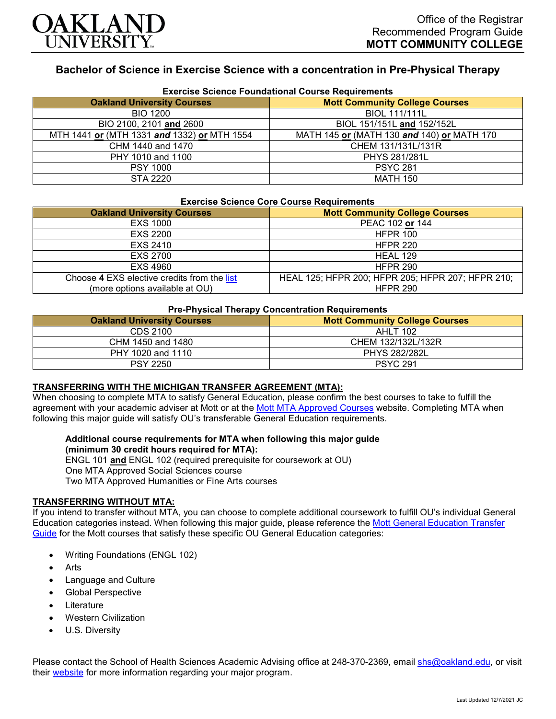

# **Bachelor of Science in Exercise Science with a concentration in Pre-Physical Therapy**

| <b>Exercise Science Foundational Course Requirements</b> |                                            |
|----------------------------------------------------------|--------------------------------------------|
| <b>Oakland University Courses</b>                        | <b>Mott Community College Courses</b>      |
| <b>BIO 1200</b>                                          | <b>BIOL 111/111L</b>                       |
| BIO 2100, 2101 and 2600                                  | BIOL 151/151L and 152/152L                 |
| MTH 1441 or (MTH 1331 and 1332) or MTH 1554              | MATH 145 or (MATH 130 and 140) or MATH 170 |
| CHM 1440 and 1470                                        | CHEM 131/131L/131R                         |
| PHY 1010 and 1100                                        | <b>PHYS 281/281L</b>                       |
| <b>PSY 1000</b>                                          | <b>PSYC 281</b>                            |
| <b>STA 2220</b>                                          | <b>MATH 150</b>                            |

#### **Exercise Science Foundational Course Requirements**

#### **Exercise Science Core Course Requirements**

| <b>Oakland University Courses</b>           | <b>Mott Community College Courses</b>             |
|---------------------------------------------|---------------------------------------------------|
| <b>EXS 1000</b>                             | PEAC 102 or 144                                   |
| EXS 2200                                    | <b>HFPR 100</b>                                   |
| EXS 2410                                    | <b>HFPR 220</b>                                   |
| EXS 2700                                    | HEAL 129                                          |
| EXS 4960                                    | <b>HFPR 290</b>                                   |
| Choose 4 EXS elective credits from the list | HEAL 125; HFPR 200; HFPR 205; HFPR 207; HFPR 210; |
| (more options available at OU)              | <b>HFPR 290</b>                                   |

## **Pre-Physical Therapy Concentration Requirements**

| <b>Oakland University Courses</b> | <b>Mott Community College Courses</b> |
|-----------------------------------|---------------------------------------|
| CDS 2100                          | <b>AHLT 102</b>                       |
| CHM 1450 and 1480                 | CHEM 132/132L/132R                    |
| PHY 1020 and 1110                 | <b>PHYS 282/282L</b>                  |
| <b>PSY 2250</b>                   | <b>PSYC 291</b>                       |

### **TRANSFERRING WITH THE MICHIGAN TRANSFER AGREEMENT (MTA):**

When choosing to complete MTA to satisfy General Education, please confirm the best courses to take to fulfill the agreement with your academic adviser at Mott or at the [Mott MTA Approved Courses](https://www.mcc.edu/counseling_student_dev/casd_mi_transfer_agreement.shtml) website. Completing MTA when following this major guide will satisfy OU's transferable General Education requirements.

# **Additional course requirements for MTA when following this major guide (minimum 30 credit hours required for MTA):**

ENGL 101 **and** ENGL 102 (required prerequisite for coursework at OU)

One MTA Approved Social Sciences course

Two MTA Approved Humanities or Fine Arts courses

### **TRANSFERRING WITHOUT MTA:**

If you intend to transfer without MTA, you can choose to complete additional coursework to fulfill OU's individual General Education categories instead. When following this major guide, please reference the [Mott General Education Transfer](https://www.oakland.edu/Assets/Oakland/program-guides/mott-community-college/university-general-education-requirements/Mott%20Gen%20Ed.pdf)  [Guide](https://www.oakland.edu/Assets/Oakland/program-guides/mott-community-college/university-general-education-requirements/Mott%20Gen%20Ed.pdf) for the Mott courses that satisfy these specific OU General Education categories:

- Writing Foundations (ENGL 102)
- **Arts**
- Language and Culture
- Global Perspective
- **Literature**
- Western Civilization
- U.S. Diversity

Please contact the School of Health Sciences Academic Advising office at 248-370-2369, email [shs@oakland.edu,](mailto:shs@oakland.edu) or visit their [website](http://www.oakland.edu/shs/advising) for more information regarding your major program.